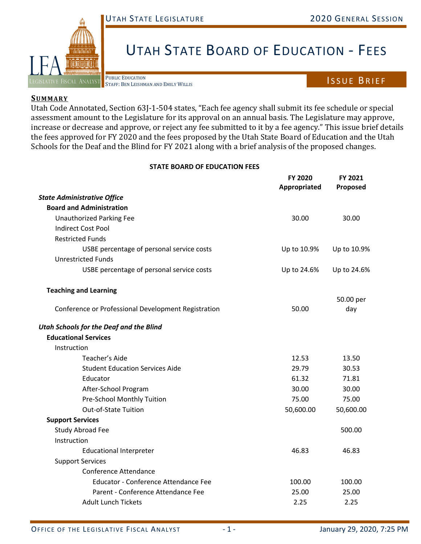## UTAH STATE LEGISLATURE 2020 GENERAL SESSION



# UTAH STATE BOARD OF EDUCATION - FEES

## ISSUE BRIEF

#### **SUMMARY**

#### **STATE BOARD OF EDUCATION FEES**

| LEGISLATIVE FISCAL ANALYST<br>STAFF: BEN LEISHMAN AND EMILY WILLIS                                                                                                                                                 |                                | <b>ISSUE BRIEF</b>  |
|--------------------------------------------------------------------------------------------------------------------------------------------------------------------------------------------------------------------|--------------------------------|---------------------|
| <b>SUMMARY</b>                                                                                                                                                                                                     |                                |                     |
| Utah Code Annotated, Section 63J-1-504 states, "Each fee agency shall submit its fee schedule or special<br>assessment amount to the Legislature for its approval on an annual basis. The Legislature may approve, |                                |                     |
| increase or decrease and approve, or reject any fee submitted to it by a fee agency." This issue brief details                                                                                                     |                                |                     |
| the fees approved for FY 2020 and the fees proposed by the Utah State Board of Education and the Utah                                                                                                              |                                |                     |
| Schools for the Deaf and the Blind for FY 2021 along with a brief analysis of the proposed changes.                                                                                                                |                                |                     |
| <b>STATE BOARD OF EDUCATION FEES</b>                                                                                                                                                                               |                                |                     |
|                                                                                                                                                                                                                    | <b>FY 2020</b><br>Appropriated | FY 2021<br>Proposed |
| <b>State Administrative Office</b>                                                                                                                                                                                 |                                |                     |
| <b>Board and Administration</b>                                                                                                                                                                                    |                                |                     |
| <b>Unauthorized Parking Fee</b>                                                                                                                                                                                    | 30.00                          | 30.00               |
| <b>Indirect Cost Pool</b>                                                                                                                                                                                          |                                |                     |
| <b>Restricted Funds</b>                                                                                                                                                                                            |                                |                     |
| USBE percentage of personal service costs                                                                                                                                                                          | Up to 10.9%                    | Up to 10.9%         |
| <b>Unrestricted Funds</b>                                                                                                                                                                                          |                                |                     |
| USBE percentage of personal service costs                                                                                                                                                                          | Up to 24.6%                    | Up to 24.6%         |
| <b>Teaching and Learning</b>                                                                                                                                                                                       |                                |                     |
|                                                                                                                                                                                                                    |                                | 50.00 per           |
| Conference or Professional Development Registration                                                                                                                                                                | 50.00                          | day                 |
| <b>Utah Schools for the Deaf and the Blind</b>                                                                                                                                                                     |                                |                     |
| <b>Educational Services</b>                                                                                                                                                                                        |                                |                     |
| Instruction                                                                                                                                                                                                        |                                |                     |
| Teacher's Aide                                                                                                                                                                                                     | 12.53                          | 13.50               |
| <b>Student Education Services Aide</b>                                                                                                                                                                             | 29.79                          | 30.53               |
| Educator                                                                                                                                                                                                           | 61.32                          | 71.81               |
| After-School Program                                                                                                                                                                                               | 30.00                          | 30.00               |
| Pre-School Monthly Tuition                                                                                                                                                                                         | 75.00                          | 75.00               |
| Out-of-State Tuition                                                                                                                                                                                               | 50,600.00                      | 50,600.00           |
| <b>Support Services</b>                                                                                                                                                                                            |                                |                     |
| Study Abroad Fee                                                                                                                                                                                                   |                                | 500.00              |
| Instruction                                                                                                                                                                                                        |                                |                     |
| <b>Educational Interpreter</b>                                                                                                                                                                                     | 46.83                          | 46.83               |
| <b>Support Services</b>                                                                                                                                                                                            |                                |                     |
| <b>Conference Attendance</b>                                                                                                                                                                                       |                                |                     |
| <b>Educator - Conference Attendance Fee</b>                                                                                                                                                                        | 100.00                         | 100.00              |
| Parent - Conference Attendance Fee                                                                                                                                                                                 | 25.00                          | 25.00               |
| <b>Adult Lunch Tickets</b>                                                                                                                                                                                         | 2.25                           | 2.25                |
|                                                                                                                                                                                                                    |                                |                     |